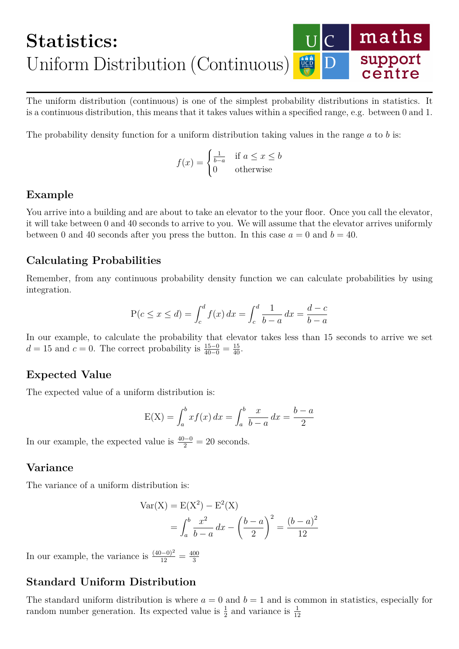#### maths **Statistics:** support Uniform Distribution (Continuous) centre

The uniform distribution (continuous) is one of the simplest probability distributions in statistics. It is a continuous distribution, this means that it takes values within a specified range, e.g. between 0 and 1.

The probability density function for a uniform distribution taking values in the range *a* to *b* is:

$$
f(x) = \begin{cases} \frac{1}{b-a} & \text{if } a \le x \le b \\ 0 & \text{otherwise} \end{cases}
$$

### **Example**

You arrive into a building and are about to take an elevator to the your floor. Once you call the elevator, it will take between 0 and 40 seconds to arrive to you. We will assume that the elevator arrives uniformly between 0 and 40 seconds after you press the button. In this case  $a = 0$  and  $b = 40$ .

## **Calculating Probabilities**

Remember, from any continuous probability density function we can calculate probabilities by using integration.

$$
P(c \le x \le d) = \int_{c}^{d} f(x) dx = \int_{c}^{d} \frac{1}{b-a} dx = \frac{d-c}{b-a}
$$

In our example, to calculate the probability that elevator takes less than 15 seconds to arrive we set  $d = 15$  and  $c = 0$ . The correct probability is  $\frac{15-0}{40-0} = \frac{15}{40}$ .

### **Expected Value**

The expected value of a uniform distribution is:

$$
E(X) = \int_{a}^{b} x f(x) dx = \int_{a}^{b} \frac{x}{b-a} dx = \frac{b-a}{2}
$$

In our example, the expected value is  $\frac{40-0}{2} = 20$  seconds.

### **Variance**

The variance of a uniform distribution is:

$$
Var(X) = E(X2) - E2(X)
$$
  
=  $\int_a^b \frac{x^2}{b-a} dx - \left(\frac{b-a}{2}\right)^2 = \frac{(b-a)^2}{12}$ 

In our example, the variance is  $\frac{(40-0)^2}{12} = \frac{400}{3}$ 3

# **Standard Uniform Distribution**

The standard uniform distribution is where  $a = 0$  and  $b = 1$  and is common in statistics, especially for random number generation. Its expected value is  $\frac{1}{2}$  and variance is  $\frac{1}{12}$